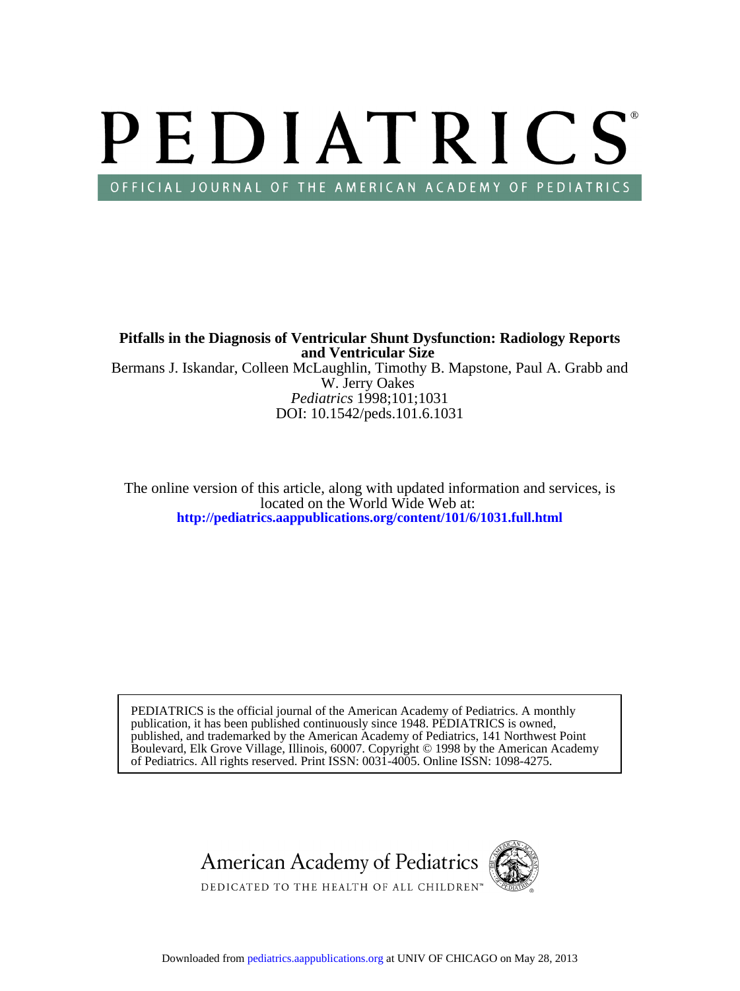# PEDIATRICS OFFICIAL JOURNAL OF THE AMERICAN ACADEMY OF PEDIATRICS

DOI: 10.1542/peds.101.6.1031 *Pediatrics* 1998;101;1031 W. Jerry Oakes Bermans J. Iskandar, Colleen McLaughlin, Timothy B. Mapstone, Paul A. Grabb and **and Ventricular Size Pitfalls in the Diagnosis of Ventricular Shunt Dysfunction: Radiology Reports**

**<http://pediatrics.aappublications.org/content/101/6/1031.full.html>** located on the World Wide Web at: The online version of this article, along with updated information and services, is

of Pediatrics. All rights reserved. Print ISSN: 0031-4005. Online ISSN: 1098-4275. Boulevard, Elk Grove Village, Illinois, 60007. Copyright © 1998 by the American Academy published, and trademarked by the American Academy of Pediatrics, 141 Northwest Point publication, it has been published continuously since 1948. PEDIATRICS is owned, PEDIATRICS is the official journal of the American Academy of Pediatrics. A monthly



Downloaded from [pediatrics.aappublications.org](http://pediatrics.aappublications.org/) at UNIV OF CHICAGO on May 28, 2013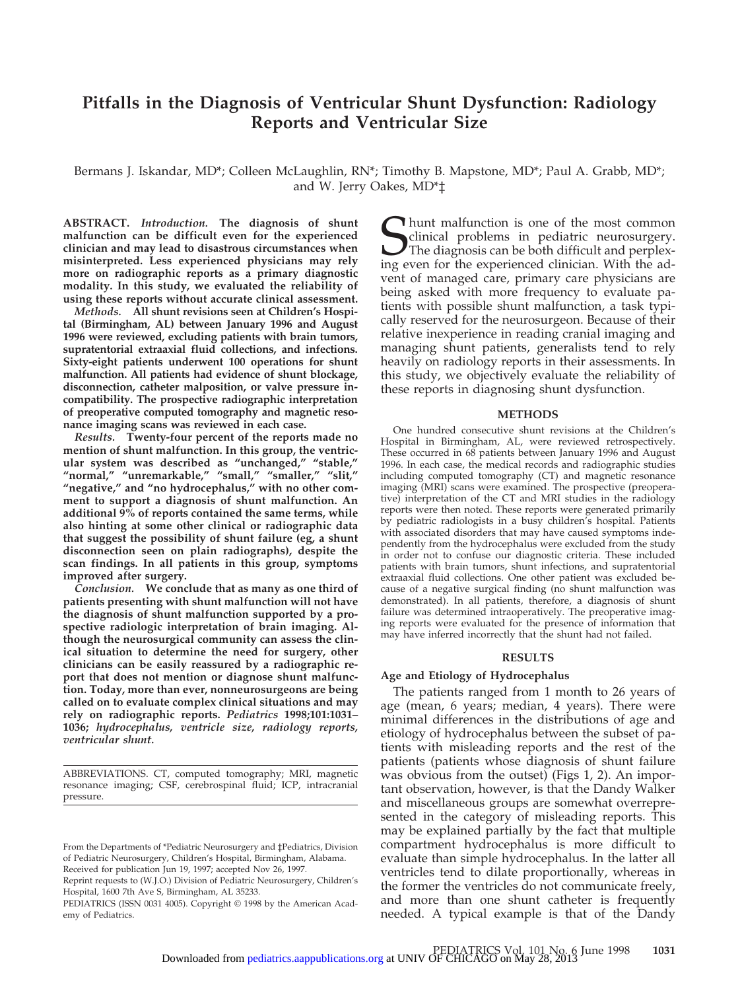## **Pitfalls in the Diagnosis of Ventricular Shunt Dysfunction: Radiology Reports and Ventricular Size**

Bermans J. Iskandar, MD\*; Colleen McLaughlin, RN\*; Timothy B. Mapstone, MD\*; Paul A. Grabb, MD\*; and W. Jerry Oakes, MD\*‡

**ABSTRACT.** *Introduction.* **The diagnosis of shunt malfunction can be difficult even for the experienced clinician and may lead to disastrous circumstances when misinterpreted. Less experienced physicians may rely more on radiographic reports as a primary diagnostic modality. In this study, we evaluated the reliability of using these reports without accurate clinical assessment.**

*Methods.* **All shunt revisions seen at Children's Hospital (Birmingham, AL) between January 1996 and August 1996 were reviewed, excluding patients with brain tumors, supratentorial extraaxial fluid collections, and infections. Sixty-eight patients underwent 100 operations for shunt malfunction. All patients had evidence of shunt blockage, disconnection, catheter malposition, or valve pressure incompatibility. The prospective radiographic interpretation of preoperative computed tomography and magnetic resonance imaging scans was reviewed in each case.**

*Results.* **Twenty-four percent of the reports made no mention of shunt malfunction. In this group, the ventricular system was described as "unchanged," "stable," "normal," "unremarkable," "small," "smaller," "slit," "negative," and "no hydrocephalus," with no other comment to support a diagnosis of shunt malfunction. An additional 9% of reports contained the same terms, while also hinting at some other clinical or radiographic data that suggest the possibility of shunt failure (eg, a shunt disconnection seen on plain radiographs), despite the scan findings. In all patients in this group, symptoms improved after surgery.**

*Conclusion.* **We conclude that as many as one third of patients presenting with shunt malfunction will not have the diagnosis of shunt malfunction supported by a prospective radiologic interpretation of brain imaging. Although the neurosurgical community can assess the clinical situation to determine the need for surgery, other clinicians can be easily reassured by a radiographic report that does not mention or diagnose shunt malfunction. Today, more than ever, nonneurosurgeons are being called on to evaluate complex clinical situations and may rely on radiographic reports.** *Pediatrics* **1998;101:1031– 1036;** *hydrocephalus, ventricle size, radiology reports, ventricular shunt.*

ABBREVIATIONS. CT, computed tomography; MRI, magnetic resonance imaging; CSF, cerebrospinal fluid; ICP, intracranial pressure.

Shunt malfunction is one of the most common clinical problems in pediatric neurosurgery.<br>The diagnosis can be both difficult and perplexing even for the experienced clinician. With the adclinical problems in pediatric neurosurgery. The diagnosis can be both difficult and perplexing even for the experienced clinician. With the advent of managed care, primary care physicians are being asked with more frequency to evaluate patients with possible shunt malfunction, a task typically reserved for the neurosurgeon. Because of their relative inexperience in reading cranial imaging and managing shunt patients, generalists tend to rely heavily on radiology reports in their assessments. In this study, we objectively evaluate the reliability of these reports in diagnosing shunt dysfunction.

#### **METHODS**

One hundred consecutive shunt revisions at the Children's Hospital in Birmingham, AL, were reviewed retrospectively. These occurred in 68 patients between January 1996 and August 1996. In each case, the medical records and radiographic studies including computed tomography (CT) and magnetic resonance imaging (MRI) scans were examined. The prospective (preoperative) interpretation of the CT and MRI studies in the radiology reports were then noted. These reports were generated primarily by pediatric radiologists in a busy children's hospital. Patients with associated disorders that may have caused symptoms independently from the hydrocephalus were excluded from the study in order not to confuse our diagnostic criteria. These included patients with brain tumors, shunt infections, and supratentorial extraaxial fluid collections. One other patient was excluded because of a negative surgical finding (no shunt malfunction was demonstrated). In all patients, therefore, a diagnosis of shunt failure was determined intraoperatively. The preoperative imaging reports were evaluated for the presence of information that may have inferred incorrectly that the shunt had not failed.

#### **RESULTS**

#### **Age and Etiology of Hydrocephalus**

The patients ranged from 1 month to 26 years of age (mean, 6 years; median, 4 years). There were minimal differences in the distributions of age and etiology of hydrocephalus between the subset of patients with misleading reports and the rest of the patients (patients whose diagnosis of shunt failure was obvious from the outset) (Figs 1, 2). An important observation, however, is that the Dandy Walker and miscellaneous groups are somewhat overrepresented in the category of misleading reports. This may be explained partially by the fact that multiple compartment hydrocephalus is more difficult to evaluate than simple hydrocephalus. In the latter all ventricles tend to dilate proportionally, whereas in the former the ventricles do not communicate freely, and more than one shunt catheter is frequently needed. A typical example is that of the Dandy

From the Departments of \*Pediatric Neurosurgery and ‡Pediatrics, Division of Pediatric Neurosurgery, Children's Hospital, Birmingham, Alabama. Received for publication Jun 19, 1997; accepted Nov 26, 1997.

Reprint requests to (W.J.O.) Division of Pediatric Neurosurgery, Children's Hospital, 1600 7th Ave S, Birmingham, AL 35233.

PEDIATRICS (ISSN 0031 4005). Copyright © 1998 by the American Academy of Pediatrics.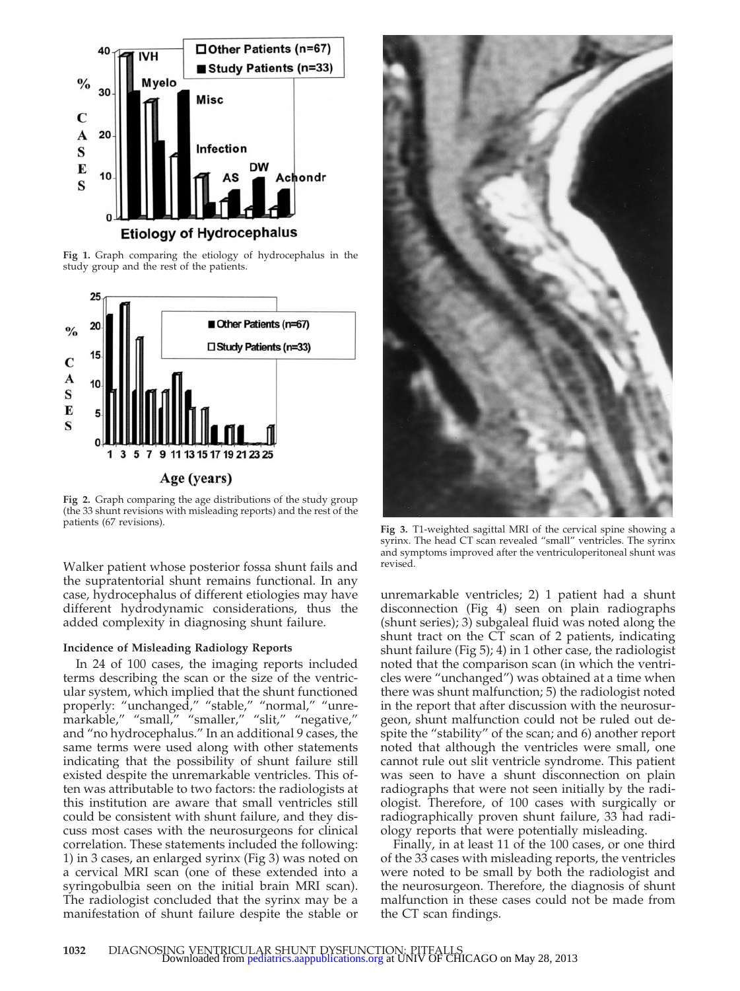

**Fig 1.** Graph comparing the etiology of hydrocephalus in the study group and the rest of the patients.



**Fig 2.** Graph comparing the age distributions of the study group (the 33 shunt revisions with misleading reports) and the rest of the

Walker patient whose posterior fossa shunt fails and the supratentorial shunt remains functional. In any case, hydrocephalus of different etiologies may have different hydrodynamic considerations, thus the added complexity in diagnosing shunt failure.

#### **Incidence of Misleading Radiology Reports**

In 24 of 100 cases, the imaging reports included terms describing the scan or the size of the ventricular system, which implied that the shunt functioned properly: "unchanged," "stable," "normal," "unremarkable," "small," "smaller," "slit," "negative," and "no hydrocephalus." In an additional 9 cases, the same terms were used along with other statements indicating that the possibility of shunt failure still existed despite the unremarkable ventricles. This often was attributable to two factors: the radiologists at this institution are aware that small ventricles still could be consistent with shunt failure, and they discuss most cases with the neurosurgeons for clinical correlation. These statements included the following: 1) in 3 cases, an enlarged syrinx (Fig 3) was noted on a cervical MRI scan (one of these extended into a syringobulbia seen on the initial brain MRI scan). The radiologist concluded that the syrinx may be a manifestation of shunt failure despite the stable or



Fig 3. T1-weighted sagittal MRI of the cervical spine showing a syrinx. The head CT scan revealed "small" ventricles. The syrinx and symptoms improved after the ventriculoperitoneal shunt was revised.

unremarkable ventricles; 2) 1 patient had a shunt disconnection (Fig 4) seen on plain radiographs (shunt series); 3) subgaleal fluid was noted along the shunt tract on the CT scan of 2 patients, indicating shunt failure (Fig 5); 4) in 1 other case, the radiologist noted that the comparison scan (in which the ventricles were "unchanged") was obtained at a time when there was shunt malfunction; 5) the radiologist noted in the report that after discussion with the neurosurgeon, shunt malfunction could not be ruled out despite the "stability" of the scan; and 6) another report noted that although the ventricles were small, one cannot rule out slit ventricle syndrome. This patient was seen to have a shunt disconnection on plain radiographs that were not seen initially by the radiologist. Therefore, of 100 cases with surgically or radiographically proven shunt failure, 33 had radiology reports that were potentially misleading.

Finally, in at least 11 of the 100 cases, or one third of the 33 cases with misleading reports, the ventricles were noted to be small by both the radiologist and the neurosurgeon. Therefore, the diagnosis of shunt malfunction in these cases could not be made from the CT scan findings.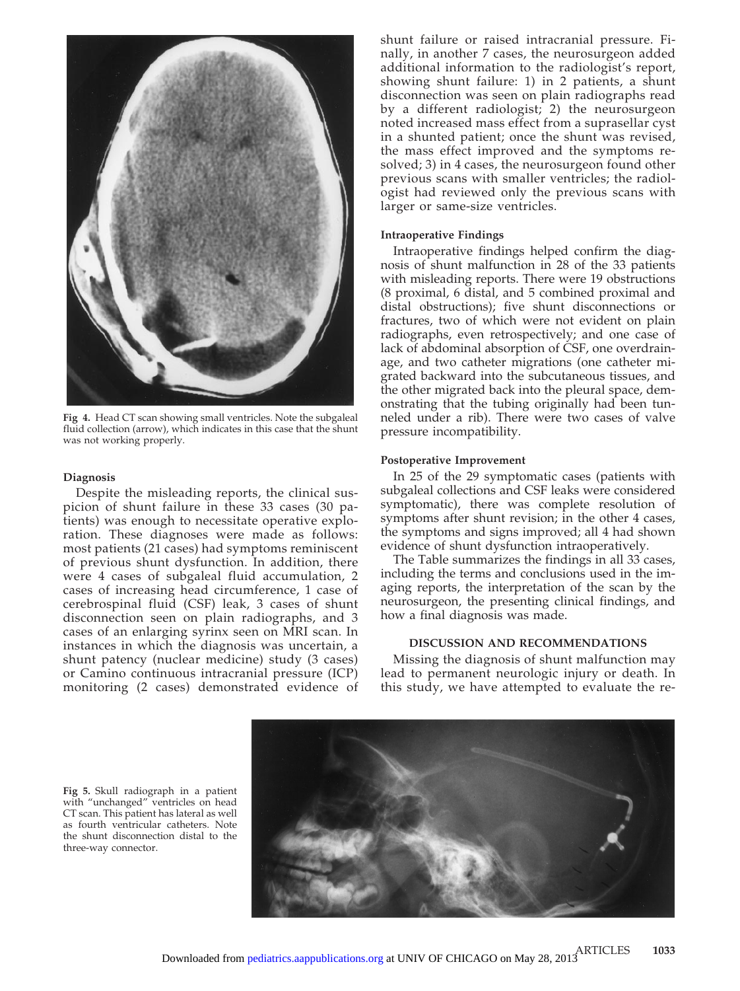

**Fig 4.** Head CT scan showing small ventricles. Note the subgaleal fluid collection (arrow), which indicates in this case that the shunt was not working properly.

#### **Diagnosis**

Despite the misleading reports, the clinical suspicion of shunt failure in these 33 cases (30 patients) was enough to necessitate operative exploration. These diagnoses were made as follows: most patients (21 cases) had symptoms reminiscent of previous shunt dysfunction. In addition, there were 4 cases of subgaleal fluid accumulation, 2 cases of increasing head circumference, 1 case of cerebrospinal fluid (CSF) leak, 3 cases of shunt disconnection seen on plain radiographs, and 3 cases of an enlarging syrinx seen on MRI scan. In instances in which the diagnosis was uncertain, a shunt patency (nuclear medicine) study (3 cases) or Camino continuous intracranial pressure (ICP) monitoring (2 cases) demonstrated evidence of shunt failure or raised intracranial pressure. Finally, in another 7 cases, the neurosurgeon added additional information to the radiologist's report, showing shunt failure: 1) in 2 patients, a shunt disconnection was seen on plain radiographs read by a different radiologist; 2) the neurosurgeon noted increased mass effect from a suprasellar cyst in a shunted patient; once the shunt was revised, the mass effect improved and the symptoms resolved; 3) in 4 cases, the neurosurgeon found other previous scans with smaller ventricles; the radiologist had reviewed only the previous scans with larger or same-size ventricles.

#### **Intraoperative Findings**

Intraoperative findings helped confirm the diagnosis of shunt malfunction in 28 of the 33 patients with misleading reports. There were 19 obstructions (8 proximal, 6 distal, and 5 combined proximal and distal obstructions); five shunt disconnections or fractures, two of which were not evident on plain radiographs, even retrospectively; and one case of lack of abdominal absorption of CSF, one overdrainage, and two catheter migrations (one catheter migrated backward into the subcutaneous tissues, and the other migrated back into the pleural space, demonstrating that the tubing originally had been tunneled under a rib). There were two cases of valve pressure incompatibility.

#### **Postoperative Improvement**

In 25 of the 29 symptomatic cases (patients with subgaleal collections and CSF leaks were considered symptomatic), there was complete resolution of symptoms after shunt revision; in the other 4 cases, the symptoms and signs improved; all 4 had shown evidence of shunt dysfunction intraoperatively.

The Table summarizes the findings in all 33 cases, including the terms and conclusions used in the imaging reports, the interpretation of the scan by the neurosurgeon, the presenting clinical findings, and how a final diagnosis was made.

#### **DISCUSSION AND RECOMMENDATIONS**

Missing the diagnosis of shunt malfunction may lead to permanent neurologic injury or death. In this study, we have attempted to evaluate the re-

**Fig 5.** Skull radiograph in a patient with "unchanged" ventricles on head CT scan. This patient has lateral as well as fourth ventricular catheters. Note the shunt disconnection distal to the three-way connector.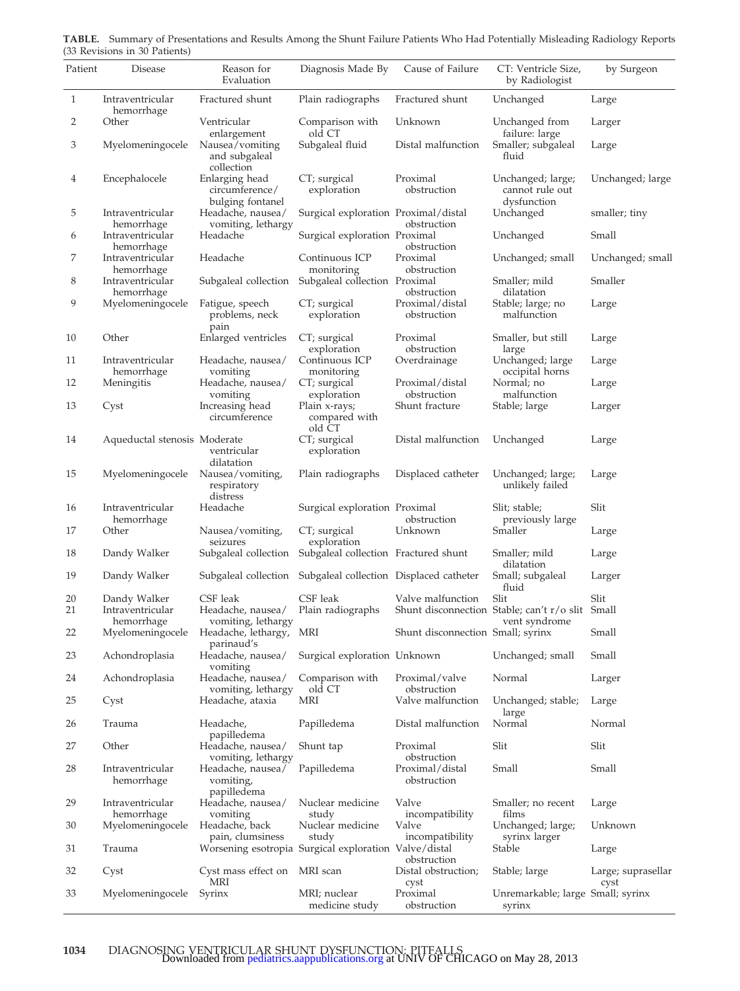|              | <i>Revierto move rations</i>     |                                                                           |                                          |                                               |                                                          |                    |
|--------------|----------------------------------|---------------------------------------------------------------------------|------------------------------------------|-----------------------------------------------|----------------------------------------------------------|--------------------|
| Patient      | <b>Disease</b>                   | Reason for<br>Evaluation                                                  | Diagnosis Made By                        | Cause of Failure                              | CT: Ventricle Size,<br>by Radiologist                    | by Surgeon         |
| $\mathbf{1}$ | Intraventricular<br>hemorrhage   | Fractured shunt                                                           | Plain radiographs                        | Fractured shunt                               | Unchanged                                                | Large              |
| 2            | Other                            | Ventricular<br>enlargement                                                | Comparison with<br>old CT                | Unknown                                       | Unchanged from<br>failure: large                         | Larger             |
| 3            | Myelomeningocele                 | Nausea/vomiting<br>and subgaleal<br>collection                            | Subgaleal fluid                          | Distal malfunction                            | Smaller; subgaleal<br>fluid                              | Large              |
| 4            | Encephalocele                    | Enlarging head<br>circumference/<br>bulging fontanel                      | CT; surgical<br>exploration              | Proximal<br>obstruction                       | Unchanged; large;<br>cannot rule out<br>dysfunction      | Unchanged; large   |
| 5            | Intraventricular<br>hemorrhage   | Headache, nausea/<br>vomiting, lethargy                                   | Surgical exploration Proximal/distal     | obstruction                                   | Unchanged                                                | smaller; tiny      |
| 6            | Intraventricular<br>hemorrhage   | Headache                                                                  | Surgical exploration Proximal            | obstruction                                   | Unchanged                                                | Small              |
| 7            | Intraventricular<br>hemorrhage   | Headache                                                                  | Continuous ICP<br>monitoring             | Proximal<br>obstruction                       | Unchanged; small                                         | Unchanged; small   |
| 8            | Intraventricular<br>hemorrhage   | Subgaleal collection                                                      | Subgaleal collection Proximal            | obstruction                                   | Smaller; mild<br>dilatation                              | Smaller            |
| 9            | Myelomeningocele                 | Fatigue, speech<br>problems, neck<br>pain                                 | CT; surgical<br>exploration              | Proximal/distal<br>obstruction                | Stable; large; no<br>malfunction                         | Large              |
| 10           | Other                            | Enlarged ventricles                                                       | CT; surgical<br>exploration              | Proximal<br>obstruction                       | Smaller, but still<br>large                              | Large              |
| 11           | Intraventricular<br>hemorrhage   | Headache, nausea/<br>vomiting                                             | Continuous ICP<br>monitoring             | Overdrainage                                  | Unchanged; large<br>occipital horns                      | Large              |
| 12           | Meningitis                       | Headache, nausea/<br>vomiting                                             | CT; surgical<br>exploration              | Proximal/distal<br>obstruction                | Normal; no<br>malfunction                                | Large              |
| 13           | Cyst                             | Increasing head<br>circumference                                          | Plain x-rays;<br>compared with<br>old CT | Shunt fracture                                | Stable; large                                            | Larger             |
| 14           | Aqueductal stenosis Moderate     | ventricular<br>dilatation                                                 | CT; surgical<br>exploration              | Distal malfunction                            | Unchanged                                                | Large              |
| 15           | Myelomeningocele                 | Nausea/vomiting,<br>respiratory<br>distress                               | Plain radiographs                        | Displaced catheter                            | Unchanged; large;<br>unlikely failed                     | Large              |
| 16           | Intraventricular<br>hemorrhage   | Headache                                                                  | Surgical exploration Proximal            | obstruction                                   | Slit; stable;<br>previously large                        | Slit               |
| 17           | Other                            | Nausea/vomiting,<br>seizures                                              | CT; surgical<br>exploration              | Unknown                                       | Smaller                                                  | Large              |
| 18           | Dandy Walker                     | Subgaleal collection                                                      | Subgaleal collection Fractured shunt     |                                               | Smaller; mild<br>dilatation                              | Large              |
| 19           | Dandy Walker                     | Subgaleal collection                                                      | Subgaleal collection Displaced catheter  |                                               | Small; subgaleal<br>fluid                                | Larger             |
| 20<br>21     | Dandy Walker<br>Intraventricular | CSF leak<br>Headache, nausea/                                             | CSF leak<br>Plain radiographs            | Valve malfunction                             | Slit<br>Shunt disconnection Stable; can't r/o slit Small | Slit               |
| 22           | hemorrhage<br>Myelomeningocele   | vomiting, lethargy<br>Headache, lethargy,                                 | MRI                                      | Shunt disconnection Small; syrinx             | vent syndrome                                            | Small              |
| 23           | Achondroplasia                   | parinaud's<br>Headache, nausea/                                           | Surgical exploration Unknown             |                                               | Unchanged; small                                         | Small              |
| 24           | Achondroplasia                   | vomiting<br>Headache, nausea/                                             | Comparison with                          | Proximal/valve                                | Normal                                                   | Larger             |
| 25           | Cyst                             | vomiting, lethargy<br>Headache, ataxia                                    | old CT<br>MRI                            | obstruction<br>Valve malfunction              | Unchanged; stable;                                       | Large              |
| 26           | Trauma                           | Headache,                                                                 | Papilledema                              | Distal malfunction                            | large<br>Normal                                          | Normal             |
| 27           | Other                            | papilledema<br>Headache, nausea/                                          | Shunt tap                                | Proximal                                      | Slit                                                     | Slit               |
| 28           | Intraventricular<br>hemorrhage   | vomiting, lethargy<br>Headache, nausea/<br>vomiting,                      | Papilledema                              | obstruction<br>Proximal/distal<br>obstruction | Small                                                    | Small              |
| 29           | Intraventricular                 | papilledema<br>Headache, nausea/                                          | Nuclear medicine                         | Valve                                         | Smaller; no recent                                       | Large              |
| 30           | hemorrhage<br>Myelomeningocele   | vomiting<br>Headache, back                                                | study<br>Nuclear medicine                | incompatibility<br>Valve                      | films<br>Unchanged; large;                               | Unknown            |
| 31           | Trauma                           | pain, clumsiness<br>Worsening esotropia Surgical exploration Valve/distal | study                                    | incompatibility                               | syrinx larger<br>Stable                                  | Large              |
| 32           | Cyst                             | Cyst mass effect on<br>MRI                                                | MRI scan                                 | obstruction<br>Distal obstruction;            | Stable; large                                            | Large; suprasellar |
| 33           | Myelomeningocele                 | Syrinx                                                                    | MRI; nuclear<br>medicine study           | cyst<br>Proximal<br>obstruction               | Unremarkable; large Small; syrinx<br>syrinx              | cyst               |

**TABLE.** Summary of Presentations and Results Among the Shunt Failure Patients Who Had Potentially Misleading Radiology Reports (33 Revisions in 30 Patients)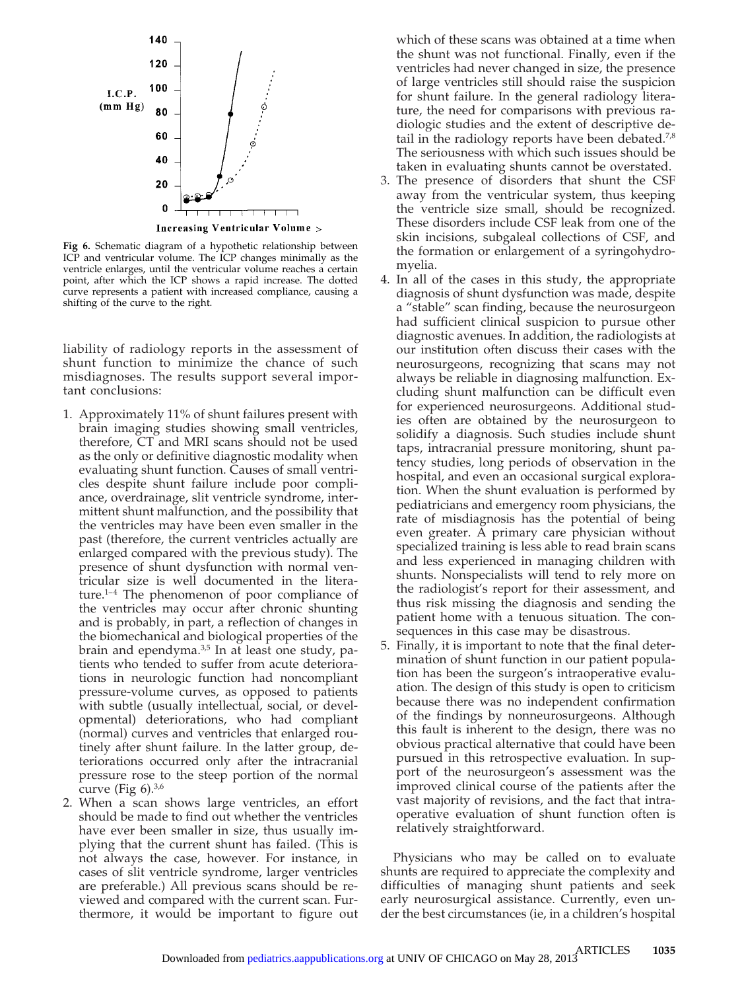

**Fig 6.** Schematic diagram of a hypothetic relationship between ICP and ventricular volume. The ICP changes minimally as the ventricle enlarges, until the ventricular volume reaches a certain point, after which the ICP shows a rapid increase. The dotted curve represents a patient with increased compliance, causing a shifting of the curve to the right.

liability of radiology reports in the assessment of shunt function to minimize the chance of such misdiagnoses. The results support several important conclusions:

- 1. Approximately 11% of shunt failures present with brain imaging studies showing small ventricles, therefore, CT and MRI scans should not be used as the only or definitive diagnostic modality when evaluating shunt function. Causes of small ventricles despite shunt failure include poor compliance, overdrainage, slit ventricle syndrome, intermittent shunt malfunction, and the possibility that the ventricles may have been even smaller in the past (therefore, the current ventricles actually are enlarged compared with the previous study). The presence of shunt dysfunction with normal ventricular size is well documented in the literature.1–4 The phenomenon of poor compliance of the ventricles may occur after chronic shunting and is probably, in part, a reflection of changes in the biomechanical and biological properties of the brain and ependyma. $3,5$  In at least one study, patients who tended to suffer from acute deteriorations in neurologic function had noncompliant pressure-volume curves, as opposed to patients with subtle (usually intellectual, social, or developmental) deteriorations, who had compliant (normal) curves and ventricles that enlarged routinely after shunt failure. In the latter group, deteriorations occurred only after the intracranial pressure rose to the steep portion of the normal curve (Fig 6).<sup>3,6</sup>
- 2. When a scan shows large ventricles, an effort should be made to find out whether the ventricles have ever been smaller in size, thus usually implying that the current shunt has failed. (This is not always the case, however. For instance, in cases of slit ventricle syndrome, larger ventricles are preferable.) All previous scans should be reviewed and compared with the current scan. Furthermore, it would be important to figure out

which of these scans was obtained at a time when the shunt was not functional. Finally, even if the ventricles had never changed in size, the presence of large ventricles still should raise the suspicion for shunt failure. In the general radiology literature, the need for comparisons with previous radiologic studies and the extent of descriptive detail in the radiology reports have been debated.<sup>7,8</sup> The seriousness with which such issues should be taken in evaluating shunts cannot be overstated.

- 3. The presence of disorders that shunt the CSF away from the ventricular system, thus keeping the ventricle size small, should be recognized. These disorders include CSF leak from one of the skin incisions, subgaleal collections of CSF, and the formation or enlargement of a syringohydromyelia.
- 4. In all of the cases in this study, the appropriate diagnosis of shunt dysfunction was made, despite a "stable" scan finding, because the neurosurgeon had sufficient clinical suspicion to pursue other diagnostic avenues. In addition, the radiologists at our institution often discuss their cases with the neurosurgeons, recognizing that scans may not always be reliable in diagnosing malfunction. Excluding shunt malfunction can be difficult even for experienced neurosurgeons. Additional studies often are obtained by the neurosurgeon to solidify a diagnosis. Such studies include shunt taps, intracranial pressure monitoring, shunt patency studies, long periods of observation in the hospital, and even an occasional surgical exploration. When the shunt evaluation is performed by pediatricians and emergency room physicians, the rate of misdiagnosis has the potential of being even greater. A primary care physician without specialized training is less able to read brain scans and less experienced in managing children with shunts. Nonspecialists will tend to rely more on the radiologist's report for their assessment, and thus risk missing the diagnosis and sending the patient home with a tenuous situation. The consequences in this case may be disastrous.
- 5. Finally, it is important to note that the final determination of shunt function in our patient population has been the surgeon's intraoperative evaluation. The design of this study is open to criticism because there was no independent confirmation of the findings by nonneurosurgeons. Although this fault is inherent to the design, there was no obvious practical alternative that could have been pursued in this retrospective evaluation. In support of the neurosurgeon's assessment was the improved clinical course of the patients after the vast majority of revisions, and the fact that intraoperative evaluation of shunt function often is relatively straightforward.

Physicians who may be called on to evaluate shunts are required to appreciate the complexity and difficulties of managing shunt patients and seek early neurosurgical assistance. Currently, even under the best circumstances (ie, in a children's hospital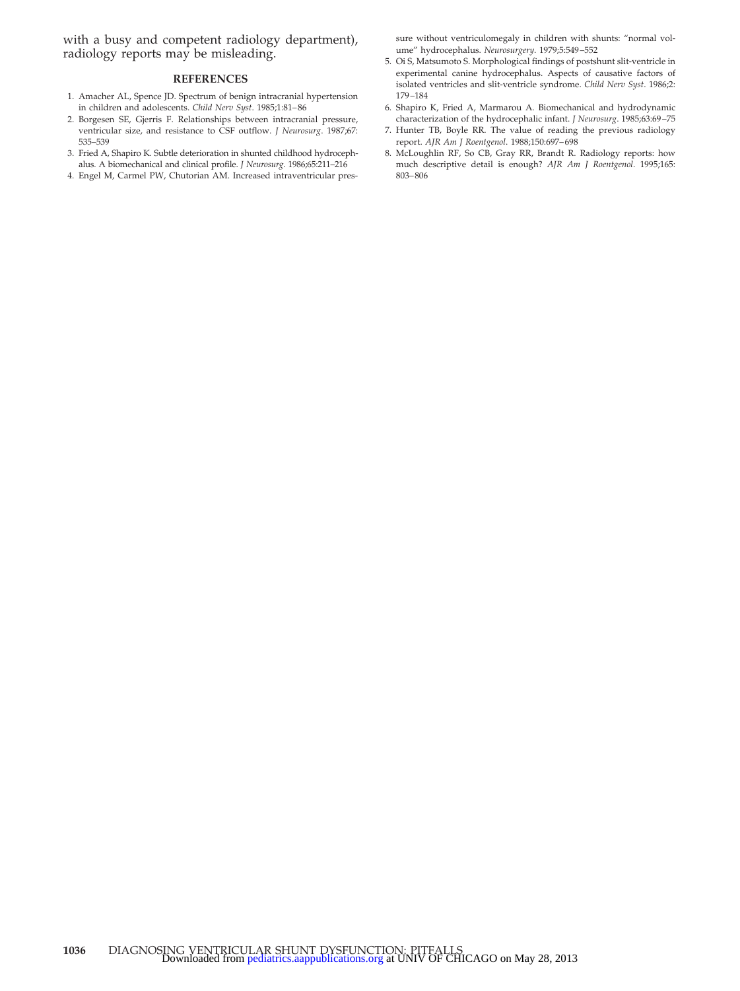with a busy and competent radiology department), radiology reports may be misleading.

#### **REFERENCES**

- 1. Amacher AL, Spence JD. Spectrum of benign intracranial hypertension in children and adolescents. *Child Nerv Syst*. 1985;1:81–86
- 2. Borgesen SE, Gjerris F. Relationships between intracranial pressure, ventricular size, and resistance to CSF outflow. *J Neurosurg*. 1987;67: 535–539
- 3. Fried A, Shapiro K. Subtle deterioration in shunted childhood hydrocephalus. A biomechanical and clinical profile. *J Neurosurg*. 1986;65:211–216
- 4. Engel M, Carmel PW, Chutorian AM. Increased intraventricular pres-

sure without ventriculomegaly in children with shunts: "normal volume" hydrocephalus. *Neurosurgery*. 1979;5:549–552

- 5. Oi S, Matsumoto S. Morphological findings of postshunt slit-ventricle in experimental canine hydrocephalus. Aspects of causative factors of isolated ventricles and slit-ventricle syndrome. *Child Nerv Syst*. 1986;2: 179–184
- 6. Shapiro K, Fried A, Marmarou A. Biomechanical and hydrodynamic characterization of the hydrocephalic infant. *J Neurosurg*. 1985;63:69–75
- 7. Hunter TB, Boyle RR. The value of reading the previous radiology report. *AJR Am J Roentgenol*. 1988;150:697–698
- 8. McLoughlin RF, So CB, Gray RR, Brandt R. Radiology reports: how much descriptive detail is enough? *AJR Am J Roentgenol*. 1995;165: 803–806